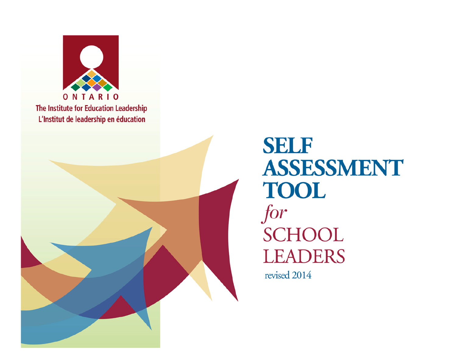



**SELF** ASSESSMENT **TOOL** for **SCHOOL LEADERS** 

revised 2014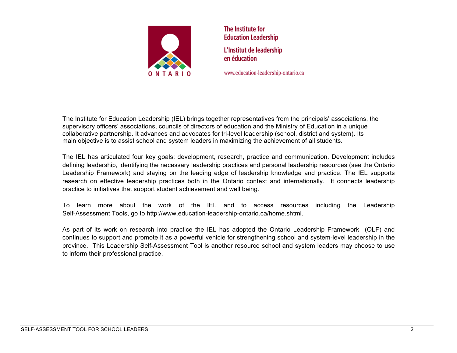

The Institute for **Education Leadership** L'Institut de leadership en éducation

www.education-leadership-ontario.ca

The Institute for Education Leadership (IEL) brings together representatives from the principals' associations, the supervisory officers' associations, councils of directors of education and the Ministry of Education in a unique collaborative partnership. It advances and advocates for tri-level leadership (school, district and system). Its main objective is to assist school and system leaders in maximizing the achievement of all students.

The IEL has articulated four key goals: development, research, practice and communication. Development includes defining leadership, identifying the necessary leadership practices and personal leadership resources (see the Ontario Leadership Framework) and staying on the leading edge of leadership knowledge and practice. The IEL supports research on effective leadership practices both in the Ontario context and internationally. It connects leadership practice to initiatives that support student achievement and well being.

To learn more about the work of the IEL and to access resources including the Leadership Self-Assessment Tools, go to http://www.education-leadership-ontario.ca/home.shtml.

As part of its work on research into practice the IEL has adopted the Ontario Leadership Framework (OLF) and continues to support and promote it as a powerful vehicle for strengthening school and system-level leadership in the province. This Leadership Self-Assessment Tool is another resource school and system leaders may choose to use to inform their professional practice.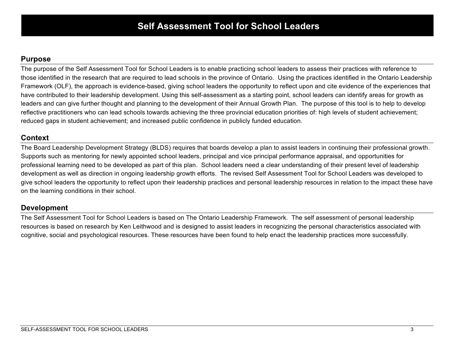#### **Purpose**

The purpose of the Self Assessment Tool for School Leaders is to enable practicing school leaders to assess their practices with reference to those identified in the research that are required to lead schools in the province of Ontario. Using the practices identified in the Ontario Leadership Framework (OLF), the approach is evidence-based, giving school leaders the opportunity to reflect upon and cite evidence of the experiences that have contributed to their leadership development. Using this self-assessment as a starting point, school leaders can identify areas for growth as leaders and can give further thought and planning to the development of their Annual Growth Plan. The purpose of this tool is to help to develop reflective practitioners who can lead schools towards achieving the three provincial education priorities of: high levels of student achievement; reduced gaps in student achievement; and increased public confidence in publicly funded education.

### **Context**

The Board Leadership Development Strategy (BLDS) requires that boards develop a plan to assist leaders in continuing their professional growth. Supports such as mentoring for newly appointed school leaders, principal and vice principal performance appraisal, and opportunities for professional learning need to be developed as part of this plan. School leaders need a clear understanding of their present level of leadership development as well as direction in ongoing leadership growth efforts. The revised Self Assessment Tool for School Leaders was developed to give school leaders the opportunity to reflect upon their leadership practices and personal leadership resources in relation to the impact these have on the learning conditions in their school.

## **Development**

The Self Assessment Tool for School Leaders is based on The Ontario Leadership Framework. The self assessment of personal leadership resources is based on research by Ken Leithwood and is designed to assist leaders in recognizing the personal characteristics associated with cognitive, social and psychological resources. These resources have been found to help enact the leadership practices more successfully.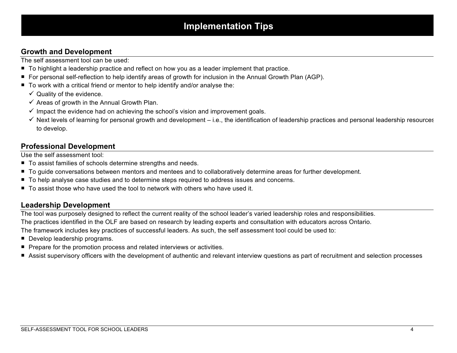## **Growth and Development**

The self assessment tool can be used:

- To highlight a leadership practice and reflect on how you as a leader implement that practice.
- ¡ For personal self-reflection to help identify areas of growth for inclusion in the Annual Growth Plan (AGP).
- To work with a critical friend or mentor to help identify and/or analyse the:
	- $\checkmark$  Quality of the evidence.
	- $\checkmark$  Areas of growth in the Annual Growth Plan.
	- $\checkmark$  Impact the evidence had on achieving the school's vision and improvement goals.
	- $\checkmark$  Next levels of learning for personal growth and development i.e., the identification of leadership practices and personal leadership resources to develop.

#### **Professional Development**

Use the self assessment tool:

- To assist families of schools determine strengths and needs.
- To quide conversations between mentors and mentees and to collaboratively determine areas for further development.
- To help analyse case studies and to determine steps required to address issues and concerns.
- $\blacksquare$  To assist those who have used the tool to network with others who have used it.

#### **Leadership Development**

The tool was purposely designed to reflect the current reality of the school leader's varied leadership roles and responsibilities.

The practices identified in the OLF are based on research by leading experts and consultation with educators across Ontario.

The framework includes key practices of successful leaders. As such, the self assessment tool could be used to:

- Develop leadership programs.
- Prepare for the promotion process and related interviews or activities.
- Assist supervisory officers with the development of authentic and relevant interview questions as part of recruitment and selection processes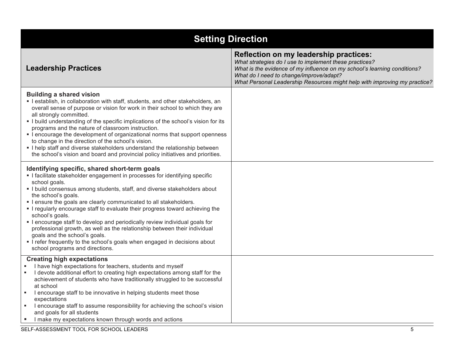| <b>Setting Direction</b>                                                                                                                                                                                                                                                                                                                                                                                                                                                                                                                                                                                                                                                                                                                |                                                                                                                                                                                                                                                                                                      |
|-----------------------------------------------------------------------------------------------------------------------------------------------------------------------------------------------------------------------------------------------------------------------------------------------------------------------------------------------------------------------------------------------------------------------------------------------------------------------------------------------------------------------------------------------------------------------------------------------------------------------------------------------------------------------------------------------------------------------------------------|------------------------------------------------------------------------------------------------------------------------------------------------------------------------------------------------------------------------------------------------------------------------------------------------------|
| <b>Leadership Practices</b>                                                                                                                                                                                                                                                                                                                                                                                                                                                                                                                                                                                                                                                                                                             | Reflection on my leadership practices:<br>What strategies do I use to implement these practices?<br>What is the evidence of my influence on my school's learning conditions?<br>What do I need to change/improve/adapt?<br>What Personal Leadership Resources might help with improving my practice? |
| <b>Building a shared vision</b><br>• I establish, in collaboration with staff, students, and other stakeholders, an<br>overall sense of purpose or vision for work in their school to which they are<br>all strongly committed.<br>• I build understanding of the specific implications of the school's vision for its<br>programs and the nature of classroom instruction.<br>• I encourage the development of organizational norms that support openness<br>to change in the direction of the school's vision.<br>I help staff and diverse stakeholders understand the relationship between<br>the school's vision and board and provincial policy initiatives and priorities.                                                        |                                                                                                                                                                                                                                                                                                      |
| Identifying specific, shared short-term goals<br>I facilitate stakeholder engagement in processes for identifying specific<br>school goals.<br>. I build consensus among students, staff, and diverse stakeholders about<br>the school's goals.<br>• I ensure the goals are clearly communicated to all stakeholders.<br>. I regularly encourage staff to evaluate their progress toward achieving the<br>school's goals.<br>• I encourage staff to develop and periodically review individual goals for<br>professional growth, as well as the relationship between their individual<br>goals and the school's goals.<br>• I refer frequently to the school's goals when engaged in decisions about<br>school programs and directions. |                                                                                                                                                                                                                                                                                                      |
| <b>Creating high expectations</b><br>I have high expectations for teachers, students and myself<br>I devote additional effort to creating high expectations among staff for the<br>achievement of students who have traditionally struggled to be successful<br>at school<br>I encourage staff to be innovative in helping students meet those<br>expectations<br>I encourage staff to assume responsibility for achieving the school's vision<br>and goals for all students<br>I make my expectations known through words and actions                                                                                                                                                                                                  |                                                                                                                                                                                                                                                                                                      |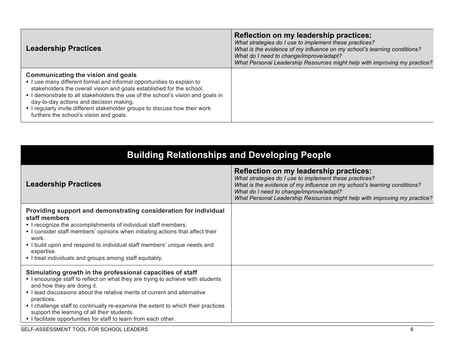| <b>Leadership Practices</b>                                                                                                                                                                                                                                                                                                                                                                                                               | Reflection on my leadership practices:<br>What strategies do I use to implement these practices?<br>What is the evidence of my influence on my school's learning conditions?<br>What do I need to change/improve/adapt?<br>What Personal Leadership Resources might help with improving my practice? |
|-------------------------------------------------------------------------------------------------------------------------------------------------------------------------------------------------------------------------------------------------------------------------------------------------------------------------------------------------------------------------------------------------------------------------------------------|------------------------------------------------------------------------------------------------------------------------------------------------------------------------------------------------------------------------------------------------------------------------------------------------------|
| Communicating the vision and goals<br>I use many different formal and informal opportunities to explain to<br>stakeholders the overall vision and goals established for the school.<br>I demonstrate to all stakeholders the use of the school's vision and goals in<br>day-to-day actions and decision making.<br>- I regularly invite different stakeholder groups to discuss how their work<br>furthers the school's vision and goals. |                                                                                                                                                                                                                                                                                                      |

| <b>Building Relationships and Developing People</b>                                                                                                                                                                                                                                                                                                                                                                                                                          |                                                                                                                                                                                                                                                                                                      |
|------------------------------------------------------------------------------------------------------------------------------------------------------------------------------------------------------------------------------------------------------------------------------------------------------------------------------------------------------------------------------------------------------------------------------------------------------------------------------|------------------------------------------------------------------------------------------------------------------------------------------------------------------------------------------------------------------------------------------------------------------------------------------------------|
| <b>Leadership Practices</b>                                                                                                                                                                                                                                                                                                                                                                                                                                                  | Reflection on my leadership practices:<br>What strategies do I use to implement these practices?<br>What is the evidence of my influence on my school's learning conditions?<br>What do I need to change/improve/adapt?<br>What Personal Leadership Resources might help with improving my practice? |
| Providing support and demonstrating consideration for individual<br>staff members<br>. I recognize the accomplishments of individual staff members.<br>• I consider staff members' opinions when initiating actions that affect their<br>work.<br>. I build upon and respond to individual staff members' unique needs and<br>expertise.<br>I treat individuals and groups among staff equitably.                                                                            |                                                                                                                                                                                                                                                                                                      |
| Stimulating growth in the professional capacities of staff<br>. I encourage staff to reflect on what they are trying to achieve with students<br>and how they are doing it.<br>I lead discussions about the relative merits of current and alternative<br>practices.<br>• I challenge staff to continually re-examine the extent to which their practices<br>support the learning of all their students.<br>. I facilitate opportunities for staff to learn from each other. |                                                                                                                                                                                                                                                                                                      |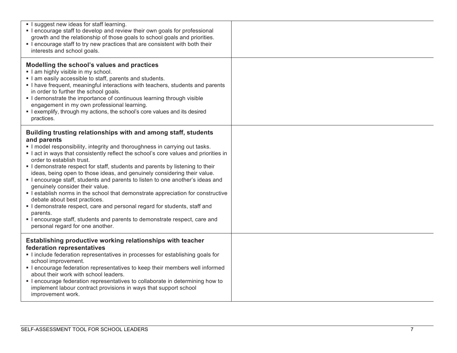| I suggest new ideas for staff learning.<br>• I encourage staff to develop and review their own goals for professional<br>growth and the relationship of those goals to school goals and priorities.<br>• I encourage staff to try new practices that are consistent with both their<br>interests and school goals.                                                                                                                                                                                                                                                                                                                                                                                                                                                                                                                                                                           |  |
|----------------------------------------------------------------------------------------------------------------------------------------------------------------------------------------------------------------------------------------------------------------------------------------------------------------------------------------------------------------------------------------------------------------------------------------------------------------------------------------------------------------------------------------------------------------------------------------------------------------------------------------------------------------------------------------------------------------------------------------------------------------------------------------------------------------------------------------------------------------------------------------------|--|
| Modelling the school's values and practices<br>I am highly visible in my school.<br>I am easily accessible to staff, parents and students.<br>I have frequent, meaningful interactions with teachers, students and parents<br>in order to further the school goals.<br>• I demonstrate the importance of continuous learning through visible<br>engagement in my own professional learning.<br>• I exemplify, through my actions, the school's core values and its desired<br>practices.                                                                                                                                                                                                                                                                                                                                                                                                     |  |
| Building trusting relationships with and among staff, students<br>and parents<br>. I model responsibility, integrity and thoroughness in carrying out tasks.<br>I act in ways that consistently reflect the school's core values and priorities in<br>order to establish trust.<br>I demonstrate respect for staff, students and parents by listening to their<br>ideas, being open to those ideas, and genuinely considering their value.<br>. I encourage staff, students and parents to listen to one another's ideas and<br>genuinely consider their value.<br>• I establish norms in the school that demonstrate appreciation for constructive<br>debate about best practices.<br>I demonstrate respect, care and personal regard for students, staff and<br>parents.<br>• I encourage staff, students and parents to demonstrate respect, care and<br>personal regard for one another. |  |
| Establishing productive working relationships with teacher<br>federation representatives<br>Include federation representatives in processes for establishing goals for<br>school improvement.<br>• I encourage federation representatives to keep their members well informed<br>about their work with school leaders.<br>I encourage federation representatives to collaborate in determining how to<br>implement labour contract provisions in ways that support school<br>improvement work.                                                                                                                                                                                                                                                                                                                                                                                               |  |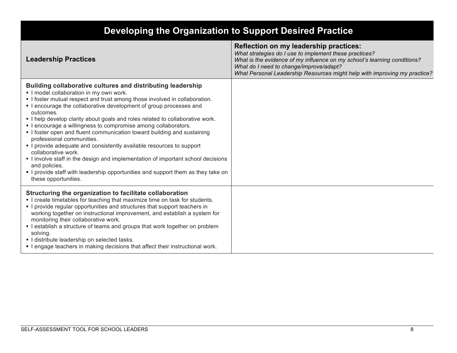| Developing the Organization to Support Desired Practice                                                                                                                                                                                                                                                                                                                                                                                                                                                                                                                                                                                                                                                                                                                                                                                  |                                                                                                                                                                                                                                                                                                             |
|------------------------------------------------------------------------------------------------------------------------------------------------------------------------------------------------------------------------------------------------------------------------------------------------------------------------------------------------------------------------------------------------------------------------------------------------------------------------------------------------------------------------------------------------------------------------------------------------------------------------------------------------------------------------------------------------------------------------------------------------------------------------------------------------------------------------------------------|-------------------------------------------------------------------------------------------------------------------------------------------------------------------------------------------------------------------------------------------------------------------------------------------------------------|
| <b>Leadership Practices</b>                                                                                                                                                                                                                                                                                                                                                                                                                                                                                                                                                                                                                                                                                                                                                                                                              | <b>Reflection on my leadership practices:</b><br>What strategies do I use to implement these practices?<br>What is the evidence of my influence on my school's learning conditions?<br>What do I need to change/improve/adapt?<br>What Personal Leadership Resources might help with improving my practice? |
| Building collaborative cultures and distributing leadership<br>I model collaboration in my own work.<br>• I foster mutual respect and trust among those involved in collaboration.<br>I encourage the collaborative development of group processes and<br>outcomes.<br>. I help develop clarity about goals and roles related to collaborative work.<br>• I encourage a willingness to compromise among collaborators.<br>• I foster open and fluent communication toward building and sustaining<br>professional communities.<br>I provide adequate and consistently available resources to support<br>collaborative work.<br>I involve staff in the design and implementation of important school decisions<br>and policies.<br>I provide staff with leadership opportunities and support them as they take on<br>these opportunities. |                                                                                                                                                                                                                                                                                                             |
| Structuring the organization to facilitate collaboration<br>. I create timetables for teaching that maximize time on task for students.<br>• I provide regular opportunities and structures that support teachers in<br>working together on instructional improvement, and establish a system for<br>monitoring their collaborative work.<br>• I establish a structure of teams and groups that work together on problem<br>solving.<br>I distribute leadership on selected tasks.<br>• I engage teachers in making decisions that affect their instructional work.                                                                                                                                                                                                                                                                      |                                                                                                                                                                                                                                                                                                             |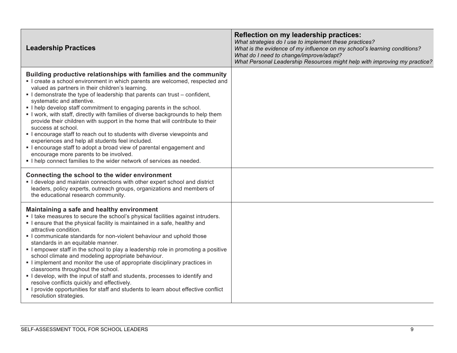| <b>Leadership Practices</b>                                                                                                                                                                                                                                                                                                                                                                                                                                                                                                                                                                                                                                                                                                                                                                                                                                                                              | Reflection on my leadership practices:<br>What strategies do I use to implement these practices?<br>What is the evidence of my influence on my school's learning conditions?<br>What do I need to change/improve/adapt?<br>What Personal Leadership Resources might help with improving my practice? |
|----------------------------------------------------------------------------------------------------------------------------------------------------------------------------------------------------------------------------------------------------------------------------------------------------------------------------------------------------------------------------------------------------------------------------------------------------------------------------------------------------------------------------------------------------------------------------------------------------------------------------------------------------------------------------------------------------------------------------------------------------------------------------------------------------------------------------------------------------------------------------------------------------------|------------------------------------------------------------------------------------------------------------------------------------------------------------------------------------------------------------------------------------------------------------------------------------------------------|
| Building productive relationships with families and the community<br>I create a school environment in which parents are welcomed, respected and<br>valued as partners in their children's learning.<br>• I demonstrate the type of leadership that parents can trust – confident,<br>systematic and attentive.<br>. I help develop staff commitment to engaging parents in the school.<br>I work, with staff, directly with families of diverse backgrounds to help them<br>provide their children with support in the home that will contribute to their<br>success at school.<br>• I encourage staff to reach out to students with diverse viewpoints and<br>experiences and help all students feel included.<br>• I encourage staff to adopt a broad view of parental engagement and<br>encourage more parents to be involved.<br>I help connect families to the wider network of services as needed. |                                                                                                                                                                                                                                                                                                      |
| Connecting the school to the wider environment<br>I develop and maintain connections with other expert school and district<br>leaders, policy experts, outreach groups, organizations and members of<br>the educational research community.                                                                                                                                                                                                                                                                                                                                                                                                                                                                                                                                                                                                                                                              |                                                                                                                                                                                                                                                                                                      |
| Maintaining a safe and healthy environment<br>I take measures to secure the school's physical facilities against intruders.<br>• I ensure that the physical facility is maintained in a safe, healthy and<br>attractive condition.<br>• I communicate standards for non-violent behaviour and uphold those<br>standards in an equitable manner.<br>• I empower staff in the school to play a leadership role in promoting a positive<br>school climate and modeling appropriate behaviour.<br>I implement and monitor the use of appropriate disciplinary practices in<br>classrooms throughout the school.<br>I develop, with the input of staff and students, processes to identify and<br>resolve conflicts quickly and effectively.<br>I provide opportunities for staff and students to learn about effective conflict<br>resolution strategies.                                                    |                                                                                                                                                                                                                                                                                                      |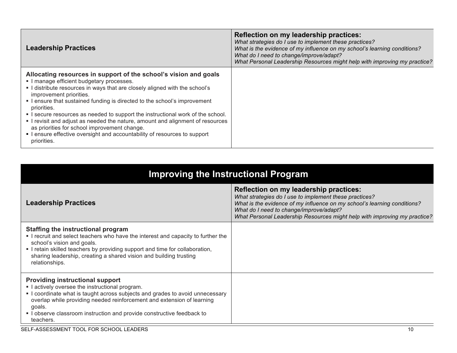| <b>Leadership Practices</b>                                                                                                                                                                                                                                                                                                                                                                                                                                                                                                                                                                                                    | Reflection on my leadership practices:<br>What strategies do I use to implement these practices?<br>What is the evidence of my influence on my school's learning conditions?<br>What do I need to change/improve/adapt?<br>What Personal Leadership Resources might help with improving my practice? |
|--------------------------------------------------------------------------------------------------------------------------------------------------------------------------------------------------------------------------------------------------------------------------------------------------------------------------------------------------------------------------------------------------------------------------------------------------------------------------------------------------------------------------------------------------------------------------------------------------------------------------------|------------------------------------------------------------------------------------------------------------------------------------------------------------------------------------------------------------------------------------------------------------------------------------------------------|
| Allocating resources in support of the school's vision and goals<br>I manage efficient budgetary processes.<br>I distribute resources in ways that are closely aligned with the school's<br>improvement priorities.<br>• I ensure that sustained funding is directed to the school's improvement<br>priorities.<br>• I secure resources as needed to support the instructional work of the school.<br>I revisit and adjust as needed the nature, amount and alignment of resources<br>as priorities for school improvement change.<br>• I ensure effective oversight and accountability of resources to support<br>priorities. |                                                                                                                                                                                                                                                                                                      |

| Improving the Instructional Program                                                                                                                                                                                                                                                                                                               |                                                                                                                                                                                                                                                                                                      |
|---------------------------------------------------------------------------------------------------------------------------------------------------------------------------------------------------------------------------------------------------------------------------------------------------------------------------------------------------|------------------------------------------------------------------------------------------------------------------------------------------------------------------------------------------------------------------------------------------------------------------------------------------------------|
| <b>Leadership Practices</b>                                                                                                                                                                                                                                                                                                                       | Reflection on my leadership practices:<br>What strategies do I use to implement these practices?<br>What is the evidence of my influence on my school's learning conditions?<br>What do I need to change/improve/adapt?<br>What Personal Leadership Resources might help with improving my practice? |
| Staffing the instructional program<br>. I recruit and select teachers who have the interest and capacity to further the<br>school's vision and goals.<br>. I retain skilled teachers by providing support and time for collaboration,<br>sharing leadership, creating a shared vision and building trusting<br>relationships.                     |                                                                                                                                                                                                                                                                                                      |
| <b>Providing instructional support</b><br>I actively oversee the instructional program.<br>I coordinate what is taught across subjects and grades to avoid unnecessary<br>overlap while providing needed reinforcement and extension of learning<br>goals.<br>. I observe classroom instruction and provide constructive feedback to<br>teachers. |                                                                                                                                                                                                                                                                                                      |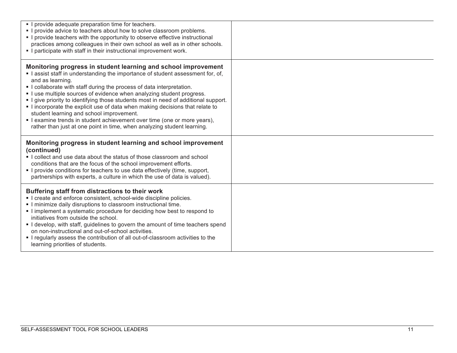| • I provide adequate preparation time for teachers.<br>. I provide advice to teachers about how to solve classroom problems.<br>• I provide teachers with the opportunity to observe effective instructional<br>practices among colleagues in their own school as well as in other schools.<br>. I participate with staff in their instructional improvement work.                                                                                                                                                                                                                                                                                                                           |  |
|----------------------------------------------------------------------------------------------------------------------------------------------------------------------------------------------------------------------------------------------------------------------------------------------------------------------------------------------------------------------------------------------------------------------------------------------------------------------------------------------------------------------------------------------------------------------------------------------------------------------------------------------------------------------------------------------|--|
| Monitoring progress in student learning and school improvement<br>I assist staff in understanding the importance of student assessment for, of,<br>and as learning.<br>• I collaborate with staff during the process of data interpretation.<br>I use multiple sources of evidence when analyzing student progress.<br>- I give priority to identifying those students most in need of additional support.<br>I incorporate the explicit use of data when making decisions that relate to<br>student learning and school improvement.<br>• I examine trends in student achievement over time (one or more years),<br>rather than just at one point in time, when analyzing student learning. |  |
| Monitoring progress in student learning and school improvement<br>(continued)<br>• I collect and use data about the status of those classroom and school<br>conditions that are the focus of the school improvement efforts.<br>• I provide conditions for teachers to use data effectively (time, support,<br>partnerships with experts, a culture in which the use of data is valued).                                                                                                                                                                                                                                                                                                     |  |
| Buffering staff from distractions to their work<br>I create and enforce consistent, school-wide discipline policies.<br>I minimize daily disruptions to classroom instructional time.<br>I implement a systematic procedure for deciding how best to respond to<br>initiatives from outside the school.<br>I develop, with staff, guidelines to govern the amount of time teachers spend<br>on non-instructional and out-of-school activities.<br>. I regularly assess the contribution of all out-of-classroom activities to the<br>learning priorities of students.                                                                                                                        |  |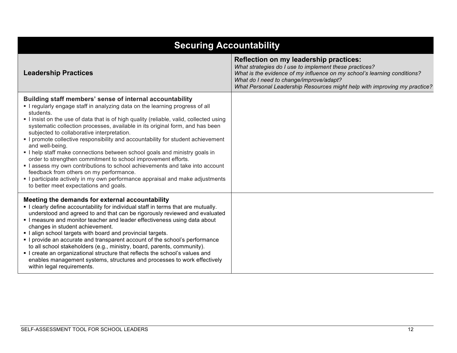| <b>Securing Accountability</b>                                                                                                                                                                                                                                                                                                                                                                                                                                                                                                                                                                                                                                                                                                                                                                                                                                                          |                                                                                                                                                                                                                                                                                                      |  |
|-----------------------------------------------------------------------------------------------------------------------------------------------------------------------------------------------------------------------------------------------------------------------------------------------------------------------------------------------------------------------------------------------------------------------------------------------------------------------------------------------------------------------------------------------------------------------------------------------------------------------------------------------------------------------------------------------------------------------------------------------------------------------------------------------------------------------------------------------------------------------------------------|------------------------------------------------------------------------------------------------------------------------------------------------------------------------------------------------------------------------------------------------------------------------------------------------------|--|
| <b>Leadership Practices</b>                                                                                                                                                                                                                                                                                                                                                                                                                                                                                                                                                                                                                                                                                                                                                                                                                                                             | Reflection on my leadership practices:<br>What strategies do I use to implement these practices?<br>What is the evidence of my influence on my school's learning conditions?<br>What do I need to change/improve/adapt?<br>What Personal Leadership Resources might help with improving my practice? |  |
| Building staff members' sense of internal accountability<br>• I regularly engage staff in analyzing data on the learning progress of all<br>students.<br>I insist on the use of data that is of high quality (reliable, valid, collected using<br>systematic collection processes, available in its original form, and has been<br>subjected to collaborative interpretation.<br>- I promote collective responsibility and accountability for student achievement<br>and well-being.<br>. I help staff make connections between school goals and ministry goals in<br>order to strengthen commitment to school improvement efforts.<br>I assess my own contributions to school achievements and take into account<br>feedback from others on my performance.<br>• I participate actively in my own performance appraisal and make adjustments<br>to better meet expectations and goals. |                                                                                                                                                                                                                                                                                                      |  |
| Meeting the demands for external accountability<br>. I clearly define accountability for individual staff in terms that are mutually.<br>understood and agreed to and that can be rigorously reviewed and evaluated<br>I measure and monitor teacher and leader effectiveness using data about<br>changes in student achievement.<br>I align school targets with board and provincial targets.<br>• I provide an accurate and transparent account of the school's performance<br>to all school stakeholders (e.g., ministry, board, parents, community).<br>• I create an organizational structure that reflects the school's values and<br>enables management systems, structures and processes to work effectively<br>within legal requirements.                                                                                                                                      |                                                                                                                                                                                                                                                                                                      |  |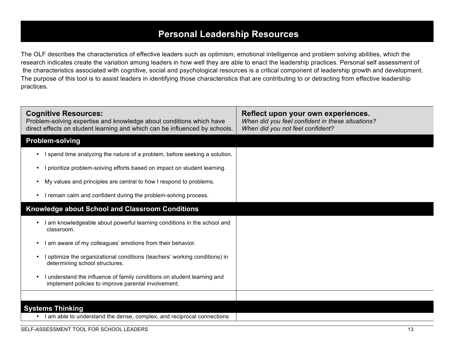# **Personal Leadership Resources**

The OLF describes the characteristics of effective leaders such as optimism, emotional intelligence and problem solving abilities, which the research indicates create the variation among leaders in how well they are able to enact the leadership practices. Personal self assessment of the characteristics associated with cognitive, social and psychological resources is a critical component of leadership growth and development. The purpose of this tool is to assist leaders in identifying those characteristics that are contributing to or detracting from effective leadership practices.

| <b>Cognitive Resources:</b><br>Problem-solving expertise and knowledge about conditions which have<br>direct effects on student learning and which can be influenced by schools. | Reflect upon your own experiences.<br>When did you feel confident in these situations?<br>When did you not feel confident? |
|----------------------------------------------------------------------------------------------------------------------------------------------------------------------------------|----------------------------------------------------------------------------------------------------------------------------|
| <b>Problem-solving</b>                                                                                                                                                           |                                                                                                                            |
| I spend time analyzing the nature of a problem, before seeking a solution.                                                                                                       |                                                                                                                            |
| prioritize problem-solving efforts based on impact on student learning.                                                                                                          |                                                                                                                            |
| My values and principles are central to how I respond to problems.                                                                                                               |                                                                                                                            |
| I remain calm and confident during the problem-solving process.                                                                                                                  |                                                                                                                            |
| <b>Knowledge about School and Classroom Conditions</b>                                                                                                                           |                                                                                                                            |
| am knowledgeable about powerful learning conditions in the school and<br>classroom.                                                                                              |                                                                                                                            |
| am aware of my colleagues' emotions from their behavior.                                                                                                                         |                                                                                                                            |
| optimize the organizational conditions (teachers' working conditions) in<br>determining school structures.                                                                       |                                                                                                                            |
| understand the influence of family conditions on student learning and<br>implement policies to improve parental involvement.                                                     |                                                                                                                            |
|                                                                                                                                                                                  |                                                                                                                            |
| <b>Systems Thinking</b>                                                                                                                                                          |                                                                                                                            |
| I am able to understand the dense, complex, and reciprocal connections                                                                                                           |                                                                                                                            |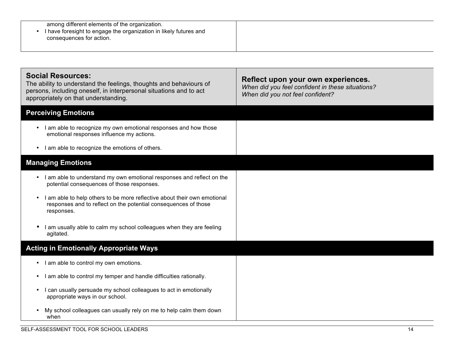| among different elements of the organization.<br>I have foresight to engage the organization in likely futures and<br>consequences for action.                                                               |                                                                                                                            |
|--------------------------------------------------------------------------------------------------------------------------------------------------------------------------------------------------------------|----------------------------------------------------------------------------------------------------------------------------|
|                                                                                                                                                                                                              |                                                                                                                            |
| <b>Social Resources:</b><br>The ability to understand the feelings, thoughts and behaviours of<br>persons, including oneself, in interpersonal situations and to act<br>appropriately on that understanding. | Reflect upon your own experiences.<br>When did you feel confident in these situations?<br>When did you not feel confident? |
| <b>Perceiving Emotions</b>                                                                                                                                                                                   |                                                                                                                            |
| • I am able to recognize my own emotional responses and how those<br>emotional responses influence my actions.                                                                                               |                                                                                                                            |
| am able to recognize the emotions of others.<br>$\bullet$                                                                                                                                                    |                                                                                                                            |
| <b>Managing Emotions</b>                                                                                                                                                                                     |                                                                                                                            |
| I am able to understand my own emotional responses and reflect on the<br>$\bullet$<br>potential consequences of those responses.                                                                             |                                                                                                                            |
| I am able to help others to be more reflective about their own emotional<br>responses and to reflect on the potential consequences of those<br>responses.                                                    |                                                                                                                            |
| am usually able to calm my school colleagues when they are feeling<br>$\bullet$<br>agitated.                                                                                                                 |                                                                                                                            |
| <b>Acting in Emotionally Appropriate Ways</b>                                                                                                                                                                |                                                                                                                            |
| • I am able to control my own emotions.                                                                                                                                                                      |                                                                                                                            |
| • I am able to control my temper and handle difficulties rationally.                                                                                                                                         |                                                                                                                            |
| can usually persuade my school colleagues to act in emotionally<br>appropriate ways in our school.                                                                                                           |                                                                                                                            |
| My school colleagues can usually rely on me to help calm them down<br>when                                                                                                                                   |                                                                                                                            |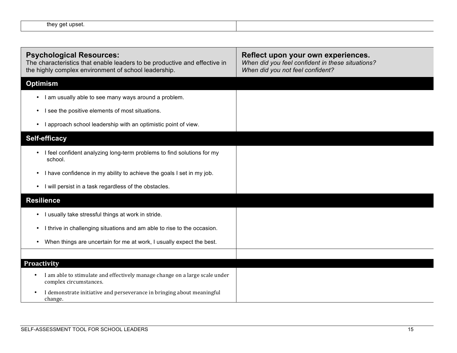| . . | . .<br>/ Get linset<br>thev |  |
|-----|-----------------------------|--|
|     |                             |  |

| <b>Psychological Resources:</b><br>The characteristics that enable leaders to be productive and effective in<br>the highly complex environment of school leadership. | Reflect upon your own experiences.<br>When did you feel confident in these situations?<br>When did you not feel confident? |
|----------------------------------------------------------------------------------------------------------------------------------------------------------------------|----------------------------------------------------------------------------------------------------------------------------|
| <b>Optimism</b>                                                                                                                                                      |                                                                                                                            |
| • I am usually able to see many ways around a problem.                                                                                                               |                                                                                                                            |
| see the positive elements of most situations.<br>$\bullet$                                                                                                           |                                                                                                                            |
| I approach school leadership with an optimistic point of view.<br>$\bullet$                                                                                          |                                                                                                                            |
| <b>Self-efficacy</b>                                                                                                                                                 |                                                                                                                            |
| I feel confident analyzing long-term problems to find solutions for my<br>$\bullet$<br>school.                                                                       |                                                                                                                            |
| I have confidence in my ability to achieve the goals I set in my job.<br>$\bullet$                                                                                   |                                                                                                                            |
| I will persist in a task regardless of the obstacles.<br>$\bullet$                                                                                                   |                                                                                                                            |
| <b>Resilience</b>                                                                                                                                                    |                                                                                                                            |
| I usually take stressful things at work in stride.<br>$\bullet$                                                                                                      |                                                                                                                            |
| I thrive in challenging situations and am able to rise to the occasion.                                                                                              |                                                                                                                            |
| When things are uncertain for me at work, I usually expect the best.                                                                                                 |                                                                                                                            |
|                                                                                                                                                                      |                                                                                                                            |
| <b>Proactivity</b>                                                                                                                                                   |                                                                                                                            |
| I am able to stimulate and effectively manage change on a large scale under<br>$\bullet$<br>complex circumstances.                                                   |                                                                                                                            |
| I demonstrate initiative and perseverance in bringing about meaningful<br>$\bullet$<br>change.                                                                       |                                                                                                                            |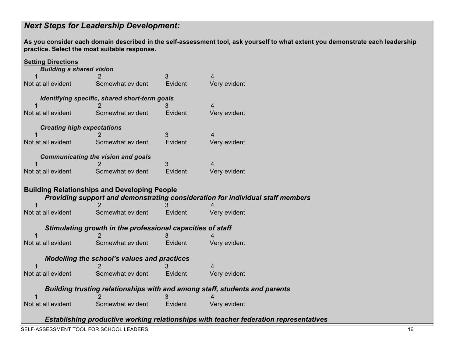## *Next Steps for Leadership Development:*

**As you consider each domain described in the self-assessment tool, ask yourself to what extent you demonstrate each leadership practice. Select the most suitable response.**

| <b>Setting Directions</b><br><b>Building a shared vision</b> |                                                            |         |                                                                                |
|--------------------------------------------------------------|------------------------------------------------------------|---------|--------------------------------------------------------------------------------|
| 1                                                            |                                                            | 3       | $\overline{4}$                                                                 |
| Not at all evident                                           | Somewhat evident                                           | Evident | Very evident                                                                   |
|                                                              | Identifying specific, shared short-term goals              | 3       | 4                                                                              |
| Not at all evident                                           | Somewhat evident                                           | Evident | Very evident                                                                   |
| <b>Creating high expectations</b>                            |                                                            | 3       | 4                                                                              |
| Not at all evident                                           | Somewhat evident                                           | Evident | Very evident                                                                   |
|                                                              | <b>Communicating the vision and goals</b>                  |         |                                                                                |
|                                                              |                                                            | 3       | 4                                                                              |
| Not at all evident                                           | Somewhat evident                                           | Evident | Very evident                                                                   |
|                                                              |                                                            |         |                                                                                |
|                                                              | <b>Building Relationships and Developing People</b>        |         |                                                                                |
|                                                              |                                                            |         | Providing support and demonstrating consideration for individual staff members |
|                                                              |                                                            |         |                                                                                |
| Not at all evident                                           | Somewhat evident                                           | Evident | Very evident                                                                   |
|                                                              | Stimulating growth in the professional capacities of staff |         |                                                                                |
|                                                              |                                                            | 3       |                                                                                |
| Not at all evident                                           | Somewhat evident                                           | Evident | Very evident                                                                   |
|                                                              | <b>Modelling the school's values and practices</b>         |         |                                                                                |
|                                                              |                                                            |         | 4                                                                              |
| Not at all evident                                           | Somewhat evident                                           | Evident | Very evident                                                                   |
|                                                              |                                                            |         | Building trusting relationships with and among staff, students and parents     |
| Not at all evident                                           | Somewhat evident                                           | Evident | Very evident                                                                   |

*Establishing productive working relationships with teacher federation representatives*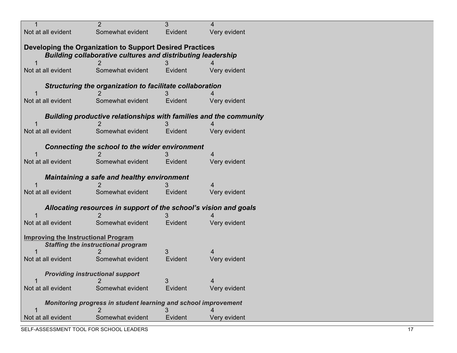| 1                                          | $\overline{2}$                                                           | 3       | 4            |  |
|--------------------------------------------|--------------------------------------------------------------------------|---------|--------------|--|
| Not at all evident                         | Somewhat evident                                                         | Evident | Very evident |  |
|                                            |                                                                          |         |              |  |
|                                            | Developing the Organization to Support Desired Practices                 |         |              |  |
|                                            | <b>Building collaborative cultures and distributing leadership</b>       |         |              |  |
|                                            |                                                                          |         |              |  |
| Not at all evident                         | Somewhat evident                                                         | Evident | Very evident |  |
|                                            | Structuring the organization to facilitate collaboration                 |         |              |  |
|                                            |                                                                          |         |              |  |
| Not at all evident                         | Somewhat evident                                                         | Evident | Very evident |  |
|                                            | <b>Building productive relationships with families and the community</b> |         |              |  |
|                                            |                                                                          |         |              |  |
| Not at all evident                         | Somewhat evident                                                         | Evident | Very evident |  |
|                                            |                                                                          |         |              |  |
|                                            | <b>Connecting the school to the wider environment</b>                    |         |              |  |
|                                            |                                                                          |         |              |  |
| Not at all evident                         | Somewhat evident                                                         | Evident | Very evident |  |
|                                            | <b>Maintaining a safe and healthy environment</b>                        |         |              |  |
|                                            |                                                                          |         |              |  |
| Not at all evident                         | Somewhat evident                                                         | Evident | Very evident |  |
|                                            |                                                                          |         |              |  |
|                                            | Allocating resources in support of the school's vision and goals         |         |              |  |
| Not at all evident                         | Somewhat evident                                                         | Evident | Very evident |  |
|                                            |                                                                          |         |              |  |
| <b>Improving the Instructional Program</b> |                                                                          |         |              |  |
|                                            | <b>Staffing the instructional program</b>                                |         |              |  |
|                                            |                                                                          | 3       |              |  |
| Not at all evident                         | Somewhat evident                                                         | Evident | Very evident |  |
|                                            | <b>Providing instructional support</b>                                   |         |              |  |
|                                            |                                                                          |         |              |  |
| Not at all evident                         | Somewhat evident                                                         | Evident | Very evident |  |
|                                            |                                                                          |         |              |  |
|                                            | Monitoring progress in student learning and school improvement           |         |              |  |
| Not at all evident                         | Somewhat evident                                                         | Evident | Very evident |  |
|                                            |                                                                          |         |              |  |

SELF-ASSESSMENT TOOL FOR SCHOOL LEADERS 17